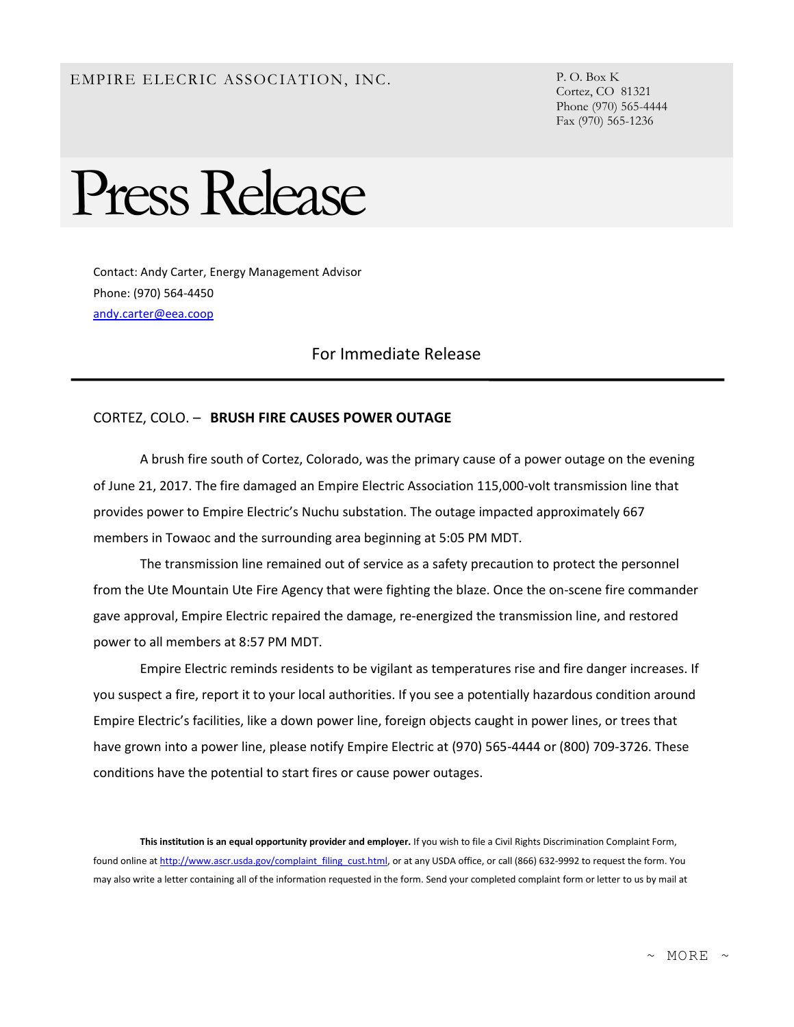## EMPIRE ELECRIC ASSOCIATION, INC. P.O. Box K

Cortez, CO 81321 Phone (970) 565-4444 Fax (970) 565-1236

## Press Release

Contact: Andy Carter, Energy Management Advisor Phone: (970) 564-4450 [andy.carter@eea.coop](mailto:andy.carter@eea.coop)

## For Immediate Release

## CORTEZ, COLO. – **BRUSH FIRE CAUSES POWER OUTAGE**

A brush fire south of Cortez, Colorado, was the primary cause of a power outage on the evening of June 21, 2017. The fire damaged an Empire Electric Association 115,000-volt transmission line that provides power to Empire Electric's Nuchu substation. The outage impacted approximately 667 members in Towaoc and the surrounding area beginning at 5:05 PM MDT.

The transmission line remained out of service as a safety precaution to protect the personnel from the Ute Mountain Ute Fire Agency that were fighting the blaze. Once the on-scene fire commander gave approval, Empire Electric repaired the damage, re-energized the transmission line, and restored power to all members at 8:57 PM MDT.

Empire Electric reminds residents to be vigilant as temperatures rise and fire danger increases. If you suspect a fire, report it to your local authorities. If you see a potentially hazardous condition around Empire Electric's facilities, like a down power line, foreign objects caught in power lines, or trees that have grown into a power line, please notify Empire Electric at (970) 565-4444 or (800) 709-3726. These conditions have the potential to start fires or cause power outages.

**This institution is an equal opportunity provider and employer.** If you wish to file a Civil Rights Discrimination Complaint Form, found online a[t http://www.ascr.usda.gov/complaint\\_filing\\_cust.html,](http://www.ascr.usda.gov/complaint_filing_cust.html) or at any USDA office, or call (866) 632-9992 to request the form. You may also write a letter containing all of the information requested in the form. Send your completed complaint form or letter to us by mail at